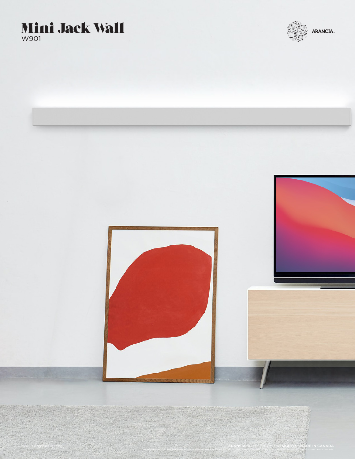### Mini Jack Wall W901



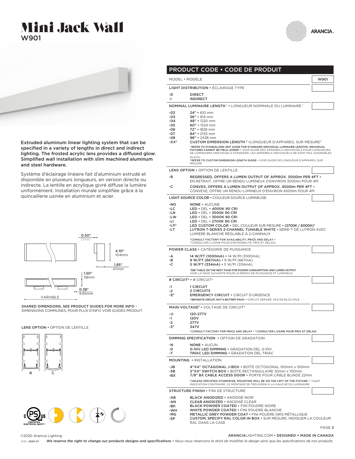





Extruded aluminum linear lighting system that can be specified in a variety of lengths in direct and indirect lighting. The frosted acrylic lens provides a diffused glow. Simplified wall installation with slim machined aluminum and steel hardware.

Système d'éclairage linéaire fait d'aluminium extrudé et disponible en plusieurs longueurs, en version directe ou indirecte. La lentille en acrylique givré diffuse la lumière uniformément. Installation murale simplifiée grâce à la quincaillerie usinée en aluminium et acier.



SHARED DIMENSIONS, SEE PRODUCT GUIDES FOR MORE INFO · DIMENSIONS COMMUNES, POUR PLUS D'INFO VOIR GUIDES PRODUIT.

LENS OPTION • OPTION DE LENTILLE





|                | MODEL • MODÉLE                                                                                                                                                                 | W901 |
|----------------|--------------------------------------------------------------------------------------------------------------------------------------------------------------------------------|------|
|                | <b>LIGHT DISTRIBUTION • ECLAIRAGE TYPE</b>                                                                                                                                     |      |
| -D             | <b>DIRECT</b>                                                                                                                                                                  |      |
| -1             | <b>INDIRECT</b>                                                                                                                                                                |      |
|                | NOMINAL LUMINAIRE LENGTH <sup>1</sup> . LONGUEUR NOMINALE DU LUMINAIRE <sup>1</sup>                                                                                            |      |
| $-02$          | 24" • 610 mm                                                                                                                                                                   |      |
| -03<br>$-04$   | 36" • 914 mm<br>48" • 1220 mm                                                                                                                                                  |      |
| -05            | $60"$ • 1524 mm                                                                                                                                                                |      |
| -06            | 72" • 1828 mm                                                                                                                                                                  |      |
| -07<br>-08     | 84" • 2133 mm<br>96" · 2438 mm                                                                                                                                                 |      |
| $-XX2$         | <b>CUSTOM DIMENSION LENGTH <sup>2</sup> .</b> LONGUEUR D'APPAREIL SUR MESURE <sup>2</sup>                                                                                      |      |
|                | <sup>1</sup> REFER TO STANDALONE UNIT GUIDE FOR STANDARD INDIVIDUAL LUMINAIRE LENGTHS. INDIVIDUAL                                                                              |      |
|                | FIXTURES CANNOT BE FIELD JOINED * 'VOIR GUIDE DES APPAREILS INDIVIDUELS POUR LONGUEURS<br>DE LUMINAIRES INDIVIDUELS STANDARD. LES APPAREILS INDIVIDUELS NE SONT PAS JOIGNABLES |      |
|                | IN SITU                                                                                                                                                                        |      |
|                | <b>?REFER TO CUSTOM DIMENSION LENGTH GUIDE . VOIR GUIDE DE LONGUEUR D'APPAREIL SUR</b><br>MESURE                                                                               |      |
|                | <b>LENS OPTION • OPTION DE LENTILLE</b>                                                                                                                                        |      |
| -R             | REGRESSED, OFFERS A LUMEN OUTPUT OF APPROX. 3000Im PER 4FT .                                                                                                                   |      |
|                | EN RETRAIT, OFFRE UN RENDU LUMINEUX D'ENVIRON 3000Im POUR 4PI                                                                                                                  |      |
| -C             | CONVEX, OFFERS A LUMEN OUTPUT OF APPROX. 4500Im PER 4FT .<br>CONVEXE, OFFRE UN RENDU LUMINEUX D'ENVIRON 4500Im POUR 4PI                                                        |      |
|                | LIGHT SOURCE COLOR . COULEUR SOURCE LUMINEUSE                                                                                                                                  |      |
| -NO            | <b>NONE • AUCUNE</b>                                                                                                                                                           |      |
| -LC            | $LED \cdot$ DEL $\cdot$ 4000K 90 CRI                                                                                                                                           |      |
| -LN            | LED • DEL • 3500K 90 CRI                                                                                                                                                       |      |
| -LW            | LED • DEL • 3000K 90 CRI                                                                                                                                                       |      |
| -LI<br>$-LX^3$ | LED • DEL • 2700K 90 CRI<br>LED CUSTOM COLOR . DEL COULEUR SUR MESURE . (2700K / 6000K) <sup>2</sup>                                                                           |      |
| -LT            | LUTRON T-SERIES 2-CHANNEL TUNABLE WHITE . SERIE-T DE LUTRON AVEC                                                                                                               |      |
|                | LUMIÈRE BLANCHE RÉGLABLE À 2-CANNAUX                                                                                                                                           |      |
|                | <sup>3</sup> CONSULT FACTORY FOR AVAILABILITY, PRICE AND DELAY .<br><sup>3</sup> CONSULTER L'USINE POUR DISPONIBILITÉ, PRIX ET DÉLAIS                                          |      |
|                | <b>POWER CLASS • CATÉGORIE DE PUISSANCE</b>                                                                                                                                    |      |
| -A             | 14 W/FT (1000mA) • 14 W/PI (1000mA)                                                                                                                                            |      |
| -в             | $9 W/FT (667mA) \cdot 9 W/PI (667mA)$                                                                                                                                          |      |
| -C             | $5 W/FT (334mA) \cdot 5 W/PI (334mA)$                                                                                                                                          |      |
|                | *SEE TABLE ON THE NEXT PAGE FOR POWER CONSUMPTION AND LUMEN OUTPUT<br>VOIR LA PAGE SUIVANTE POUR LE RENDU DE PUISSANCE ET LUMINEUX                                             |      |
|                | # CIRCUIT <sup>4</sup> • $\#$ CIRCUIT <sup>4</sup>                                                                                                                             |      |
| -1             | 1 CIRCUIT                                                                                                                                                                      |      |
| $-2$           | <b>2 CIRCUITS</b>                                                                                                                                                              |      |
| $-E4$          | <b>EMERGENCY CIRCUIT • CIRCUIT D'URGENCE</b><br>4SEPARATE CIRCUIT, NOT A BATTERY PACK • 4 CIRCUIT SÉPARÉ, PAS DE BLOC-PILE                                                     |      |
|                |                                                                                                                                                                                |      |
|                | MAIN VOLTAGE <sup>5</sup> . VOLTAGE DE CIRCUIT <sup>5</sup>                                                                                                                    |      |
| -U<br>-1       | 120-277V<br>120V                                                                                                                                                               |      |
| ۰2             | 277V                                                                                                                                                                           |      |
| $-3^{5}$       | 347V                                                                                                                                                                           |      |
|                | <sup>5</sup> CONSULT FACTORY FOR PRICE AND DELAY • <sup>5</sup> CONSULTER L'USINE POUR PRIX ET DÉLAIS                                                                          |      |
|                | <b>DIMMING SPECIFICATION • OPTION DE GRADATION</b>                                                                                                                             |      |
| -N<br>-0       | <b>NONE • AUCUN</b><br><b>0-10V LED DIMMING . GRADATION DEL 0-10V</b>                                                                                                          |      |
| -T             | <b>TRIAC LED DIMMING • GRADATION DEL TRIAC</b>                                                                                                                                 |      |
|                | <b>MOUNTING • INSTALLATION</b>                                                                                                                                                 |      |
| -JB            | 4"X4" OCTAGONAL J-BOX • BOÎTE OCTOGONAL 100mm x 100mm                                                                                                                          |      |
| -SB            | 2"X4" SWITCH BOX . BOITE RECTANGULAIRE 50mm x 100mm                                                                                                                            |      |
| -BX            | 7/8" BX CABLE ACCESS DOOR • PORTE POUR CABLE BLINDE 22mm                                                                                                                       |      |
|                | <sup>6</sup> UNLESS SPECIFIED OTHERWISE, MOUNTING WILL BE ON THE LEFT OF THE FIXTURE . 6SAUF<br>INDICATION CONTRAIRE, LE MONTAGE SE TROUVERA À LA GAUCHE DU LUMINAIRE          |      |
|                | <b>STRUCTURE FINISH • FINI DE STRUCTURE</b>                                                                                                                                    |      |
| -AB            | <b>BLACK ANODIZED • ANODISÉ NOIR</b>                                                                                                                                           |      |
| -AN            | <b>CLEAR ANODIZED • ANODISÉ CLEAR</b>                                                                                                                                          |      |
| -BK            | <b>BLACK POWDER COATED • FINI POUDRE NOIRE</b>                                                                                                                                 |      |

WHITE POWDER COATED • FINI POUDRE BLANCHE

-MG -SP METALLIC GREY POWDER COAT • FINI POUDRE GRIS MÉTALLIQUE CUSTOM, SPECIFY RAL COLOR IN BOX • SUR MESURE, INDIQUER LA COULEUR RAL DANS LA CASE

PAGE 2

©2020 Arancia Lighting

ARANCIALIGHTING.COM • DESIGNED + MADE IN CANADA

*We reserve the right to change our products designs and specifications • Nous nous réservons le droit de modifier le design ainsi que les spécifications de nos produits. V 1.1 - 2020-07*

-WH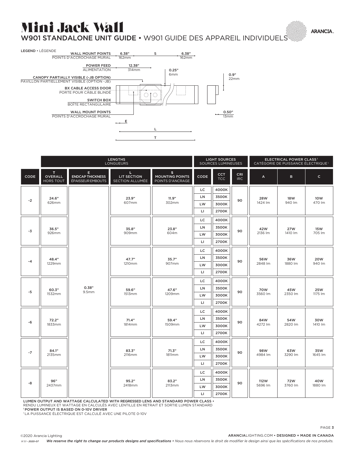# Mini Jack Wall

W901 STANDALONE UNIT GUIDE • W901 GUIDE DES APPAREIL INDIVIDUELS



|      |                                          | <b>LENGTHS</b><br><b>LONGUEURS</b>                |                                      |                                                  | <b>LIGHT SOURCES</b><br><b>SOURCES LUMINEUSES</b> |                   | ELECTRICAL POWER CLASS <sup>1</sup><br>CATÉGORIE DE PUISSANCE ÉLECTRIQUE <sup>1</sup> |                 |                       |                       |
|------|------------------------------------------|---------------------------------------------------|--------------------------------------|--------------------------------------------------|---------------------------------------------------|-------------------|---------------------------------------------------------------------------------------|-----------------|-----------------------|-----------------------|
| CODE | T.<br><b>OVERALL</b><br><b>HORS TOUT</b> | Е<br><b>ENDCAP THICKNESS</b><br>ÉPAISSEUR EMBOUTS | L.<br>LIT SECTION<br>SECTION ALLUMÉE | s.<br><b>MOUNTING POINTS</b><br>POINTS D'ANCRAGE | CODE                                              | <b>CCT</b><br>TCC | <b>CRI</b><br><b>IRC</b>                                                              | A               | B                     | $\mathsf{C}$          |
|      |                                          |                                                   | 23.9"<br>607mm                       | 11.9"<br>302mm                                   | LC.                                               | 4000K             | 90                                                                                    | 28W<br>1424 lm  | 18W<br>940 lm         | 10W<br>470 lm         |
| $-2$ | 24.6"<br>626mm                           |                                                   |                                      |                                                  | LN.                                               | 3500K             |                                                                                       |                 |                       |                       |
|      |                                          |                                                   |                                      |                                                  | LW                                                | 3000K             |                                                                                       |                 |                       |                       |
|      |                                          |                                                   |                                      |                                                  | $\mathsf{L}$                                      | 2700K             |                                                                                       |                 |                       |                       |
|      |                                          |                                                   | 35.8"<br>909mm                       | 23.8"<br>604m                                    | LC.                                               | 4000K             | 90                                                                                    | 42W<br>2136 lm  | <b>27W</b><br>1410 lm | <b>15W</b><br>705 lm  |
| -3   | 36.5"<br>926mm                           | 0.38"<br>9.5mm                                    |                                      |                                                  | LN                                                | 3500K             |                                                                                       |                 |                       |                       |
|      |                                          |                                                   |                                      |                                                  | LW                                                | 3000K             |                                                                                       |                 |                       |                       |
|      |                                          |                                                   |                                      |                                                  | $\mathsf{L}$                                      | 2700K             |                                                                                       |                 |                       |                       |
|      |                                          |                                                   | 47.7"<br>1210mm                      | 35.7"<br>907mm                                   | LC.                                               | 4000K             | 90                                                                                    | 56W<br>2848 lm  | 36W<br>1880 lm        | 20W<br>940 lm         |
| -4   | 48.4"<br>1229mm                          |                                                   |                                      |                                                  | LN                                                | 3500K             |                                                                                       |                 |                       |                       |
|      |                                          |                                                   |                                      |                                                  | LW                                                | 3000K             |                                                                                       |                 |                       |                       |
|      |                                          |                                                   |                                      |                                                  | LI                                                | 2700K             |                                                                                       |                 |                       |                       |
| -5   | 60.3"<br>1532mm                          |                                                   | 59.6"<br>1513mm                      | 47.6"<br>1209mm                                  | LC.                                               | 4000K             | 90                                                                                    | 70W<br>3560 lm  | 45W<br>2350 lm        | <b>25W</b><br>1175 lm |
|      |                                          |                                                   |                                      |                                                  | LN                                                | 3500K             |                                                                                       |                 |                       |                       |
|      |                                          |                                                   |                                      |                                                  | LW                                                | 3000K             |                                                                                       |                 |                       |                       |
|      |                                          |                                                   |                                      |                                                  | $\mathsf{L}$                                      | 2700K             |                                                                                       |                 |                       |                       |
|      |                                          |                                                   | 71.4"<br>1814mm                      | 59.4"<br>1509mm                                  | LC.                                               | 4000K             | 90                                                                                    | 84W<br>4272 lm  | 54W<br>2820 lm        | 30W<br>1410 lm        |
| -6   | 72.2"<br>1833mm                          |                                                   |                                      |                                                  | LN                                                | 3500K             |                                                                                       |                 |                       |                       |
|      |                                          |                                                   |                                      |                                                  | LW                                                | 3000K             |                                                                                       |                 |                       |                       |
|      |                                          |                                                   |                                      |                                                  | $\mathsf{L}$                                      | 2700K             |                                                                                       |                 |                       |                       |
| $-7$ | 84.1"<br>2135mm                          |                                                   | 83.3"<br>2116mm                      | 71.3"<br>1811mm                                  | LC.                                               | 4000K             | 90                                                                                    | 98W<br>4984 lm  | 63W<br>3290 lm        | 35W<br>1645 lm        |
|      |                                          |                                                   |                                      |                                                  | LN                                                | 3500K             |                                                                                       |                 |                       |                       |
|      |                                          |                                                   |                                      |                                                  | LW                                                | 3000K             |                                                                                       |                 |                       |                       |
|      |                                          |                                                   |                                      |                                                  | $\mathsf{L}$                                      | 2700K             |                                                                                       |                 |                       |                       |
| -8   | 96"<br>2437mm                            |                                                   | 95.2"<br>2418mm                      | 83.2"<br>2113mm                                  | LC                                                | 4000K             | 90                                                                                    | 112W<br>5696 lm | 72W<br>3760 lm        | 40W<br>1880 lm        |
|      |                                          |                                                   |                                      |                                                  | LN                                                | 3500K             |                                                                                       |                 |                       |                       |
|      |                                          |                                                   |                                      |                                                  | LW                                                | 3000K             |                                                                                       |                 |                       |                       |
|      |                                          |                                                   |                                      |                                                  | LI                                                | 2700K             |                                                                                       |                 |                       |                       |

LUMEN OUTPUT AND WATTAGE CALCULATED WITH REGRESSED LENS AND STANDARD POWER CLASS •

RENDU LUMINEUX ET WATTAGE EN CALCULÉS AVEC LENTILLE EN RETRAIT ET SORTIE LUMEN STANDARD

1 POWER OUTPUT IS BASED ON 0-10V DRIVER

1 LA PUISSANCE ÉLECTRIQUE EST CALCULÉ AVEC UNE PILOTE 0-10V

©2020 Arancia Lighting

ARANCIALIGHTING.COM • DESIGNED + MADE IN CANADA

PAGE 3

*We reserve the right to change our products designs and specifications • Nous nous réservons le droit de modifier le design ainsi que les spécifications de nos produits. V 1.1 - 2020-07*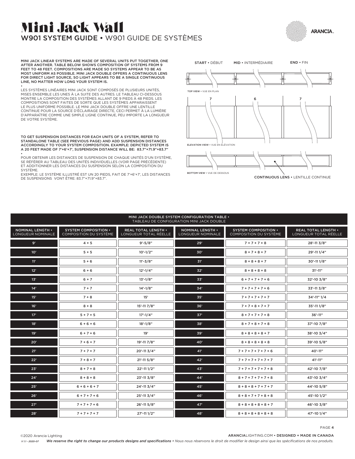## Mini Jack Wall W901 SYSTEM GUIDE • W901 GUIDE DE SYSTÈMES



MINI JACK LINEAR SYSTEMS ARE MADE OF SEVERAL UNITS PUT TOGETHER, ONE AFTER ANOTHER. TABLE BELOW SHOWS COMPOSITION OF SYSTEMS FROM 9 FEET TO 48 FEET. COMPOSITIONS ARE MADE SO SYSTEMS APPEAR TO BE AS MOST UNIFORM AS POSSIBLE. MINI JACK DOUBLE OFFERS A CONTINUOUS LENS FOR DIRECT LIGHT SOURCE, SO LIGHT APPEARS TO BE A SINGLE CONTINUOUS LINE, NO MATTER HOW LONG YOUR SYSTEM IS.

• LES SYSTÈMES LINÉAIRES MINI JACK SONT COMPOSÉS DE PLUSIEURS UNITÉS, MISES ENSEMBLE LES UNES À LA SUITE DES AUTRES. LE TABLEAU CI-DESSOUS MONTRE LA COMPOSITION DES SYSTÈMES ALLANT DE 9 PIEDS À 48 PIEDS. LES COMPOSITIONS SONT FAITES DE SORTE QUE LES SYSTÈMES APPARAISSENT LE PLUS UNIFORME POSSIBLE. LE MINI JACK DOUBLE OFFRE UNE LENTILLE CONTINUE POUR LA SOURCE D'ÉCLAIRAGE DIRECTE, CECI PERMET À LA LUMIÈRE D'APPARAÎTRE COMME UNE SIMPLE LIGNE CONTINUE, PEU IMPORTE LA LONGUEUR DE VOTRE SYSTÈME.

TO GET SUSPENSION DISTANCES FOR EACH UNITS OF A SYSTEM, REFER TO STANDALONE TABLE (SEE PREVIOUS PAGE) AND ADD SUSPENSION DISTANCES ACCORDINGLY TO YOUR SYSTEM COMPOSITION. EXAMPLE: DEPICTED SYSTEM IS A 20 FEET MADE OF 7'+6'+7', SUSPENSION DISTANCE WILL BE: 83.7"+71.9"+83.7" •

POUR OBTENIR LES DISTANCES DE SUSPENSION DE CHAQUE UNITÉS D'UN SYSTÈME, SE RÉFÉRER AU TABLEAU DES UNITÉS INDIVIDUELLES (VOIR PAGE PRÉCÉDENTE) ET ADDITIONNER LES DISTANCES DU SUSPENSION SELON LA COMPOSITION DU SYSTÈME.

EXEMPLE: LE SYSTÈME ILLUSTRÉ EST UN 20 PIEDS, FAIT DE 7'+6'+7', LES DISTANCES DE SUSPENSIONS VONT ÊTRE: 83.7"+71.9"+83.7".



MINI JACK DOUBLE SYSTEM CONFIGURATION TABLE • TABLEAU DE CONFIGURATION MINI JACK DOUBLE

| <b>I ADLLAD DE CONTRODRATION PINNI JACK DOUBLE</b> |                                                       |                                              |                                       |                                                       |                                              |  |  |  |  |
|----------------------------------------------------|-------------------------------------------------------|----------------------------------------------|---------------------------------------|-------------------------------------------------------|----------------------------------------------|--|--|--|--|
| NOMINAL LENGTH .<br>LONGUEUR NOMINALE              | <b>SYSTEM COMPOSITION •</b><br>COMPOSITION DU SYSTÈME | REAL TOTAL LENGTH .<br>LONGUEUR TOTAL RÉELLE | NOMINAL LENGTH .<br>LONGUEUR NOMINALE | <b>SYSTEM COMPOSITION •</b><br>COMPOSITION DU SYSTÈME | REAL TOTAL LENGTH .<br>LONGUEUR TOTAL RÉELLE |  |  |  |  |
| 9'                                                 | $4 + 5$                                               | $9' - 5/8"$                                  | 29'                                   | $7 + 7 + 7 + 8$                                       | 28'-11 3/8"                                  |  |  |  |  |
| 10'                                                | $5+5$                                                 | $10'-1/2"$                                   | 30'                                   | $8 + 7 + 8 + 7$                                       | 29'-11 1/4"                                  |  |  |  |  |
| 11'                                                | $5+6$                                                 | $11' - 3/8"$                                 | 31'                                   | $8 + 8 + 8 + 7$                                       | 30'-11 1/8"                                  |  |  |  |  |
| 12'                                                | $6 + 6$                                               | $12' - 1/4"$                                 | 32'                                   | $8 + 8 + 8 + 8$                                       | $31' - 11''$                                 |  |  |  |  |
| 13'                                                | $6 + 7$                                               | $13'-1/8"$                                   | 33'                                   | $6 + 7 + 7 + 7 + 6$                                   | 32'-10 3/8"                                  |  |  |  |  |
| 14'                                                | $7 + 7$                                               | $14'-1/8"$                                   | 34'                                   | $7 + 7 + 7 + 7 + 6$                                   | 33'-11 3/8"                                  |  |  |  |  |
| 15'                                                | $7 + 8$                                               | 15'                                          | 35'                                   | $7 + 7 + 7 + 7 + 7$                                   | 34'-11" 1/4                                  |  |  |  |  |
| 16'                                                | $8 + 8$                                               | 15'-11 7/8"                                  | 36'                                   | $7 + 7 + 8 + 7 + 7$                                   | 35'-11 1/8"                                  |  |  |  |  |
| 17'                                                | $5 + 7 + 5$                                           | $17' - 1/4"$                                 | 37'                                   | $8 + 7 + 7 + 7 + 8$                                   | 36'-11"                                      |  |  |  |  |
| 18'                                                | $6 + 6 + 6$                                           | $18' - 1/8"$                                 | 38'                                   | $8 + 7 + 8 + 7 + 8$                                   | 37'-10 7/8"                                  |  |  |  |  |
| 19'                                                | $6 + 7 + 6$                                           | 19'                                          | 39'                                   | $8 + 8 + 8 + 8 + 7$                                   | 38'-10 3/4"                                  |  |  |  |  |
| 20'                                                | $7 + 6 + 7$                                           | 19'-11 7/8"                                  | 40'                                   | $8 + 8 + 8 + 8 + 8$                                   | 39'-10 5/8"                                  |  |  |  |  |
| 21'                                                | $7 + 7 + 7$                                           | 20'-11 3/4"                                  | 41'                                   | $7 + 7 + 7 + 7 + 7 + 6$                               | 40'-11"                                      |  |  |  |  |
| 22"                                                | $7 + 8 + 7$                                           | 21'-11 5/8"                                  | 42"                                   | $7 + 7 + 7 + 7 + 7 + 7$                               | $41' - 11''$                                 |  |  |  |  |
| 23"                                                | $8 + 7 + 8$                                           | 22'-11 1/2"                                  | 43'                                   | $7 + 7 + 7 + 7 + 7 + 8$                               | 42'-10 7/8"                                  |  |  |  |  |
| 24'                                                | $8 + 8 + 8$                                           | 23'-11 3/8"                                  | 44'                                   | $8 + 7 + 7 + 7 + 7 + 8$                               | 43'-10 3/4"                                  |  |  |  |  |
| 25"                                                | $6 + 6 + 6 + 7$                                       | $24' - 113/4"$                               | 45'                                   | $8 + 8 + 8 + 7 + 7 + 7$                               | 44'-10 5/8"                                  |  |  |  |  |
| 26'                                                | $6 + 7 + 7 + 6$                                       | 25'-11 3/4"                                  | 46'                                   | $8 + 8 + 7 + 7 + 8 + 8$                               | 45'-10 1/2"                                  |  |  |  |  |
| 27"                                                | $7 + 7 + 7 + 6$                                       | 26'-11 5/8"                                  | 47'                                   | $8 + 8 + 8 + 8 + 8 + 7$                               | 46'-10 3/8"                                  |  |  |  |  |
| 28"                                                | $7 + 7 + 7 + 7$                                       | 27'-11 1/2"                                  | 48'                                   | $8 + 8 + 8 + 8 + 8 + 8$                               | 47'-10 1/4"                                  |  |  |  |  |

PAGE 4

ARANCIALIGHTING.COM • DESIGNED + MADE IN CANADA ©2020 Arancia Lighting

*We reserve the right to change our products designs and specifications • Nous nous réservons le droit de modifier le design ainsi que les spécifications de nos produits. V 1.1 - 2020-07*